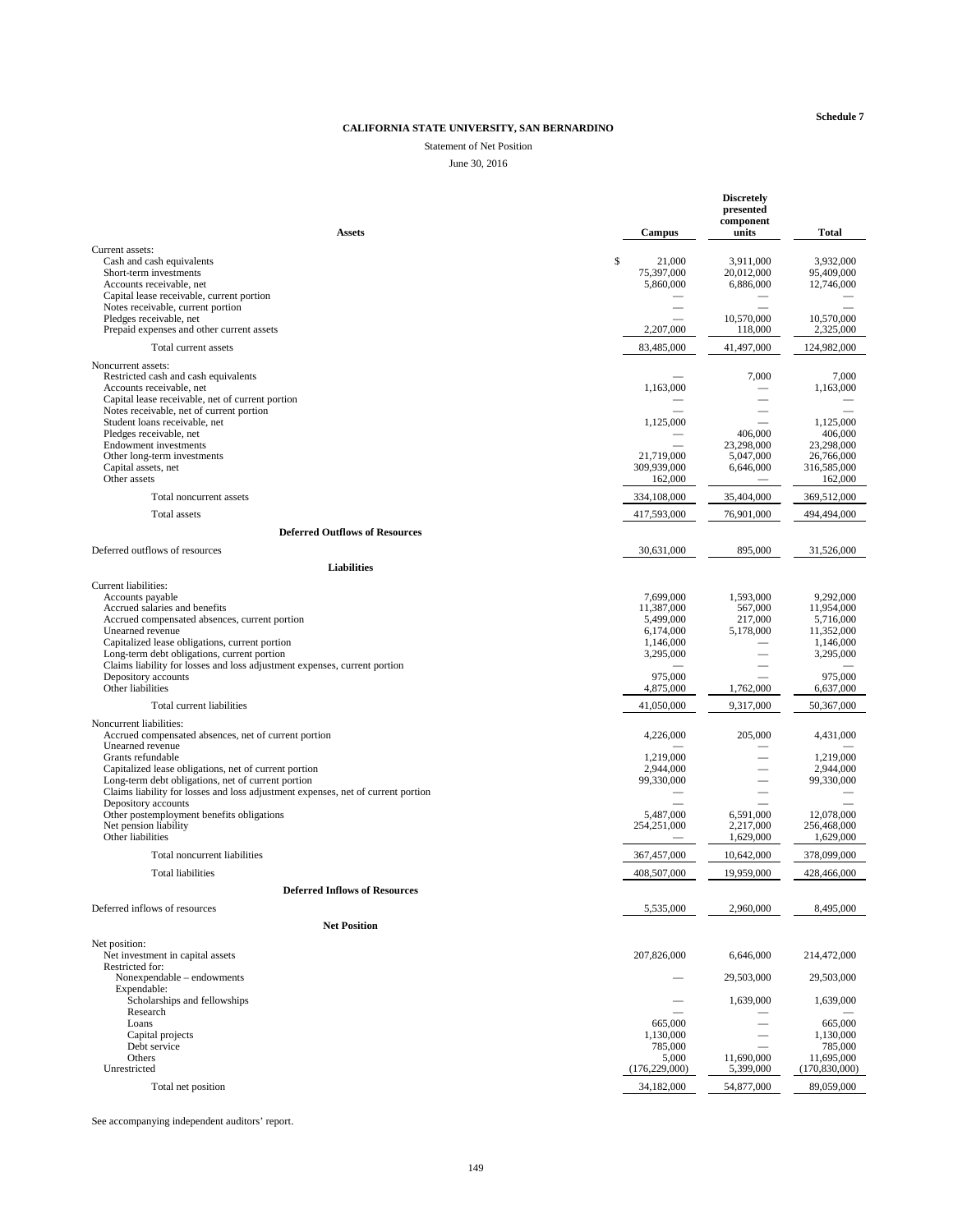## CALIFORNIA STATE UNIVERSITY, SAN BERNARDINO

## **Statement of Net Position**

#### June 30, 2016

|                                                                                                                                                                                                                                                                                                                                     |                                                                             | <b>Discretely</b><br>presented<br>component     |                                                                              |
|-------------------------------------------------------------------------------------------------------------------------------------------------------------------------------------------------------------------------------------------------------------------------------------------------------------------------------------|-----------------------------------------------------------------------------|-------------------------------------------------|------------------------------------------------------------------------------|
| <b>Assets</b>                                                                                                                                                                                                                                                                                                                       | <b>Campus</b>                                                               | units                                           | <b>Total</b>                                                                 |
| Current assets:<br>Cash and cash equivalents<br>Short-term investments<br>Accounts receivable, net                                                                                                                                                                                                                                  | \$<br>21,000<br>75,397,000<br>5,860,000                                     | 3,911,000<br>20,012,000<br>6,886,000            | 3,932,000<br>95,409,000<br>12,746,000                                        |
| Capital lease receivable, current portion<br>Notes receivable, current portion<br>Pledges receivable, net<br>Prepaid expenses and other current assets                                                                                                                                                                              | 2,207,000                                                                   | 10,570,000<br>118,000                           | 10,570,000<br>2,325,000                                                      |
| Total current assets                                                                                                                                                                                                                                                                                                                | 83,485,000                                                                  | 41,497,000                                      | 124,982,000                                                                  |
| Noncurrent assets:<br>Restricted cash and cash equivalents<br>Accounts receivable, net<br>Capital lease receivable, net of current portion                                                                                                                                                                                          | 1,163,000                                                                   | 7,000                                           | 7,000<br>1,163,000                                                           |
| Notes receivable, net of current portion<br>Student loans receivable, net<br>Pledges receivable, net<br><b>Endowment</b> investments<br>Other long-term investments<br>Capital assets, net                                                                                                                                          | 1,125,000<br>21,719,000<br>309,939,000                                      | 406,000<br>23,298,000<br>5,047,000<br>6,646,000 | 1,125,000<br>406,000<br>23,298,000<br>26,766,000<br>316,585,000              |
| Other assets                                                                                                                                                                                                                                                                                                                        | 162,000                                                                     |                                                 | 162,000                                                                      |
| Total noncurrent assets                                                                                                                                                                                                                                                                                                             | 334,108,000                                                                 | 35,404,000                                      | 369,512,000                                                                  |
| <b>Total assets</b>                                                                                                                                                                                                                                                                                                                 | 417,593,000                                                                 | 76,901,000                                      | 494,494,000                                                                  |
| <b>Deferred Outflows of Resources</b>                                                                                                                                                                                                                                                                                               |                                                                             |                                                 |                                                                              |
| Deferred outflows of resources                                                                                                                                                                                                                                                                                                      | 30,631,000                                                                  | 895,000                                         | 31,526,000                                                                   |
| <b>Liabilities</b>                                                                                                                                                                                                                                                                                                                  |                                                                             |                                                 |                                                                              |
| <b>Current liabilities:</b><br>Accounts payable<br>Accrued salaries and benefits<br>Accrued compensated absences, current portion<br>Unearned revenue<br>Capitalized lease obligations, current portion<br>Long-term debt obligations, current portion<br>Claims liability for losses and loss adjustment expenses, current portion | 7,699,000<br>11,387,000<br>5,499,000<br>6,174,000<br>1,146,000<br>3,295,000 | 1,593,000<br>567,000<br>217,000<br>5,178,000    | 9,292,000<br>11,954,000<br>5,716,000<br>11,352,000<br>1,146,000<br>3,295,000 |
| Depository accounts                                                                                                                                                                                                                                                                                                                 | 975,000                                                                     |                                                 | 975,000                                                                      |
| Other liabilities                                                                                                                                                                                                                                                                                                                   | 4,875,000                                                                   | 1,762,000                                       | 6,637,000                                                                    |
| Total current liabilities                                                                                                                                                                                                                                                                                                           | 41,050,000                                                                  | 9,317,000                                       | 50,367,000                                                                   |
| Noncurrent liabilities:<br>Accrued compensated absences, net of current portion<br>Unearned revenue<br>Grants refundable                                                                                                                                                                                                            | 4,226,000<br>1,219,000                                                      | 205,000                                         | 4,431,000<br>1,219,000                                                       |
| Capitalized lease obligations, net of current portion<br>Long-term debt obligations, net of current portion<br>Claims liability for losses and loss adjustment expenses, net of current portion<br>Depository accounts                                                                                                              | 2,944,000<br>99,330,000                                                     |                                                 | 2,944,000<br>99,330,000                                                      |
| Other postemployment benefits obligations<br>Net pension liability<br>Other liabilities                                                                                                                                                                                                                                             | 5,487,000<br>254, 251, 000                                                  | 6,591,000<br>2,217,000<br>1,629,000             | 12,078,000<br>256,468,000<br>1,629,000                                       |
| Total noncurrent liabilities                                                                                                                                                                                                                                                                                                        | 367,457,000                                                                 | 10,642,000                                      | 378,099,000                                                                  |
| <b>Total liabilities</b>                                                                                                                                                                                                                                                                                                            | 408,507,000                                                                 | 19,959,000                                      | 428,466,000                                                                  |
| <b>Deferred Inflows of Resources</b>                                                                                                                                                                                                                                                                                                |                                                                             |                                                 |                                                                              |
| Deferred inflows of resources                                                                                                                                                                                                                                                                                                       | 5,535,000                                                                   | 2,960,000                                       | 8,495,000                                                                    |
| <b>Net Position</b>                                                                                                                                                                                                                                                                                                                 |                                                                             |                                                 |                                                                              |
| Net position:<br>Net investment in capital assets<br>Restricted for:                                                                                                                                                                                                                                                                | 207,826,000                                                                 | 6,646,000                                       | 214,472,000                                                                  |
| Nonexpendable – endowments                                                                                                                                                                                                                                                                                                          |                                                                             | 29,503,000                                      | 29,503,000                                                                   |
| Expendable:<br>Scholarships and fellowships<br>Research                                                                                                                                                                                                                                                                             |                                                                             | 1,639,000                                       | 1,639,000                                                                    |
| Loans<br>Capital projects<br>Debt service<br>Others                                                                                                                                                                                                                                                                                 | 665,000<br>1,130,000<br>785,000<br>5,000                                    | 11,690,000                                      | 665,000<br>1,130,000<br>785,000<br>11,695,000                                |
| Unrestricted                                                                                                                                                                                                                                                                                                                        | (176, 229, 000)                                                             | 5,399,000                                       | (170, 830, 000)                                                              |
| Total net position                                                                                                                                                                                                                                                                                                                  | 34,182,000                                                                  | 54,877,000                                      | 89,059,000                                                                   |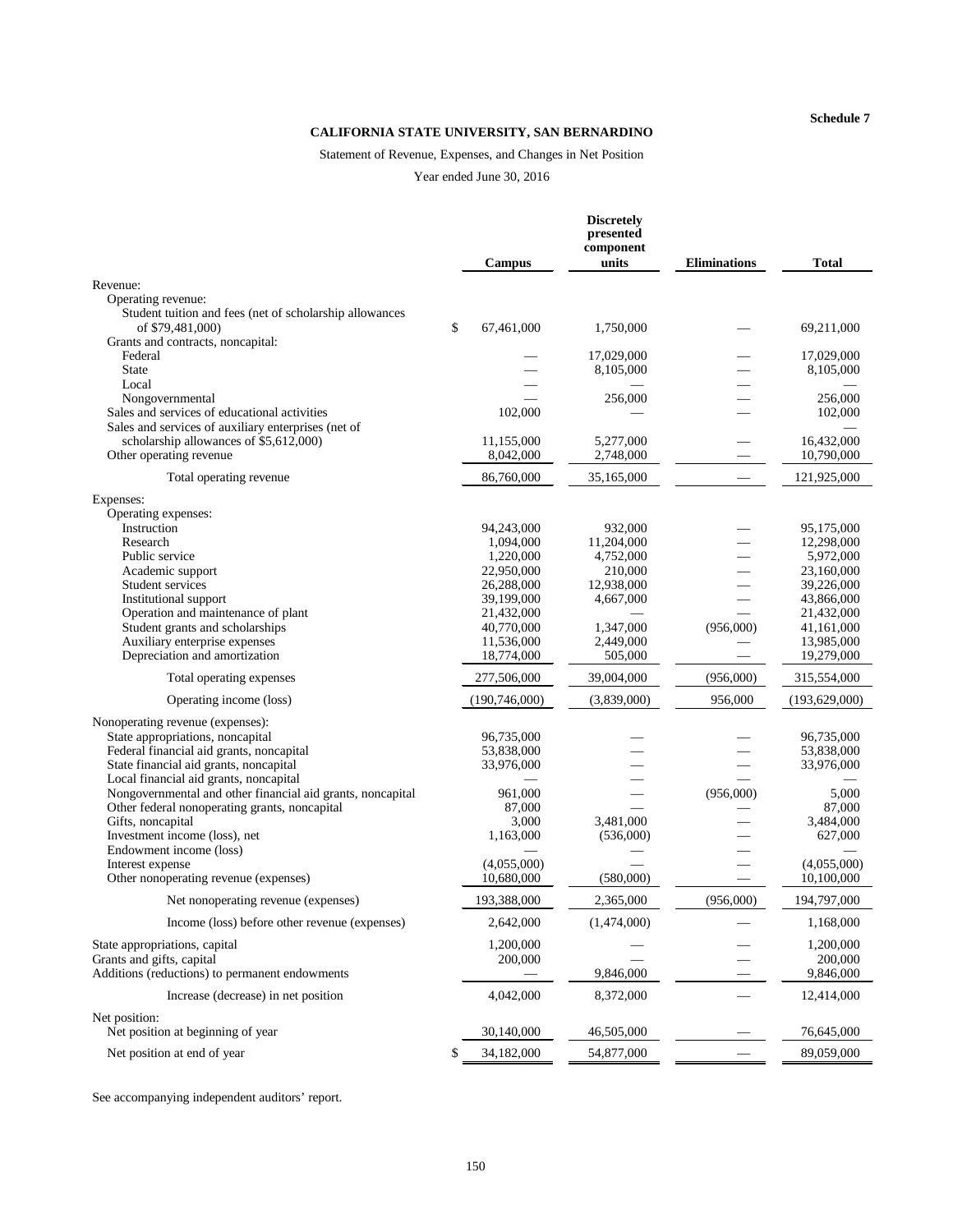# CALIFORNIA STATE UNIVERSITY, SAN BERNARDINO

# Statement of Revenue, Expenses, and Changes in Net Position

Year ended June 30, 2016

|                                                                                               | <b>Campus</b>             | <b>Discretely</b><br>presented<br>component<br>units | <b>Eliminations</b> | <b>Total</b>              |
|-----------------------------------------------------------------------------------------------|---------------------------|------------------------------------------------------|---------------------|---------------------------|
| Revenue:                                                                                      |                           |                                                      |                     |                           |
| Operating revenue:<br>Student tuition and fees (net of scholarship allowances                 |                           |                                                      |                     |                           |
| of \$79,481,000)<br>Grants and contracts, noncapital:                                         | \$<br>67,461,000          | 1,750,000                                            |                     | 69,211,000                |
| Federal<br><b>State</b>                                                                       |                           | 17,029,000<br>8,105,000                              |                     | 17,029,000<br>8,105,000   |
| Local<br>Nongovernmental<br>Sales and services of educational activities                      | 102,000                   | 256,000                                              |                     | 256,000<br>102,000        |
| Sales and services of auxiliary enterprises (net of<br>scholarship allowances of \$5,612,000) | 11,155,000                | 5,277,000                                            |                     | 16,432,000                |
| Other operating revenue                                                                       | 8,042,000                 | 2,748,000                                            |                     | 10,790,000                |
| Total operating revenue                                                                       | 86,760,000                | 35,165,000                                           |                     | 121,925,000               |
| Expenses:<br>Operating expenses:<br>Instruction                                               |                           |                                                      |                     | 95,175,000                |
| Research                                                                                      | 94,243,000<br>1,094,000   | 932,000<br>11,204,000                                |                     | 12,298,000                |
| Public service                                                                                | 1,220,000                 | 4,752,000                                            |                     | 5,972,000                 |
| Academic support                                                                              | 22,950,000                | 210,000                                              |                     | 23,160,000                |
| Student services                                                                              | 26,288,000                | 12,938,000                                           |                     | 39,226,000                |
| Institutional support                                                                         | 39,199,000                | 4,667,000                                            |                     | 43,866,000                |
| Operation and maintenance of plant<br>Student grants and scholarships                         | 21,432,000<br>40,770,000  | 1,347,000                                            | (956,000)           | 21,432,000<br>41,161,000  |
| Auxiliary enterprise expenses                                                                 | 11,536,000                | 2,449,000                                            |                     | 13,985,000                |
| Depreciation and amortization                                                                 | 18,774,000                | 505,000                                              |                     | 19,279,000                |
| Total operating expenses                                                                      | 277,506,000               | 39,004,000                                           | (956,000)           | 315,554,000               |
| Operating income (loss)                                                                       | (190, 746, 000)           | (3,839,000)                                          | 956,000             | (193, 629, 000)           |
| Nonoperating revenue (expenses):                                                              |                           |                                                      |                     |                           |
| State appropriations, noncapital                                                              | 96,735,000                |                                                      |                     | 96,735,000                |
| Federal financial aid grants, noncapital                                                      | 53,838,000                |                                                      |                     | 53,838,000                |
| State financial aid grants, noncapital<br>Local financial aid grants, noncapital              | 33,976,000                |                                                      |                     | 33,976,000                |
| Nongovernmental and other financial aid grants, noncapital                                    | 961,000                   |                                                      | (956,000)           | 5,000                     |
| Other federal nonoperating grants, noncapital                                                 | 87,000                    |                                                      |                     | 87,000                    |
| Gifts, noncapital                                                                             | 3,000                     | 3,481,000                                            |                     | 3,484,000                 |
| Investment income (loss), net                                                                 | 1,163,000                 | (536,000)                                            |                     | 627,000                   |
| Endowment income (loss)                                                                       |                           |                                                      |                     |                           |
| Interest expense<br>Other nonoperating revenue (expenses)                                     | (4,055,000)<br>10,680,000 | (580,000)                                            |                     | (4,055,000)<br>10,100,000 |
| Net nonoperating revenue (expenses)                                                           | 193,388,000               | 2,365,000                                            | (956,000)           | 194,797,000               |
| Income (loss) before other revenue (expenses)                                                 | 2,642,000                 | (1,474,000)                                          |                     | 1,168,000                 |
| State appropriations, capital                                                                 | 1,200,000                 |                                                      |                     | 1,200,000                 |
| Grants and gifts, capital<br>Additions (reductions) to permanent endowments                   | 200,000                   | 9,846,000                                            |                     | 200,000<br>9,846,000      |
| Increase (decrease) in net position                                                           | 4,042,000                 | 8,372,000                                            |                     | 12,414,000                |
| Net position:<br>Net position at beginning of year                                            | 30,140,000                | 46,505,000                                           |                     | 76,645,000                |
| Net position at end of year                                                                   | 34,182,000                | 54,877,000                                           |                     | 89,059,000                |
|                                                                                               |                           |                                                      |                     |                           |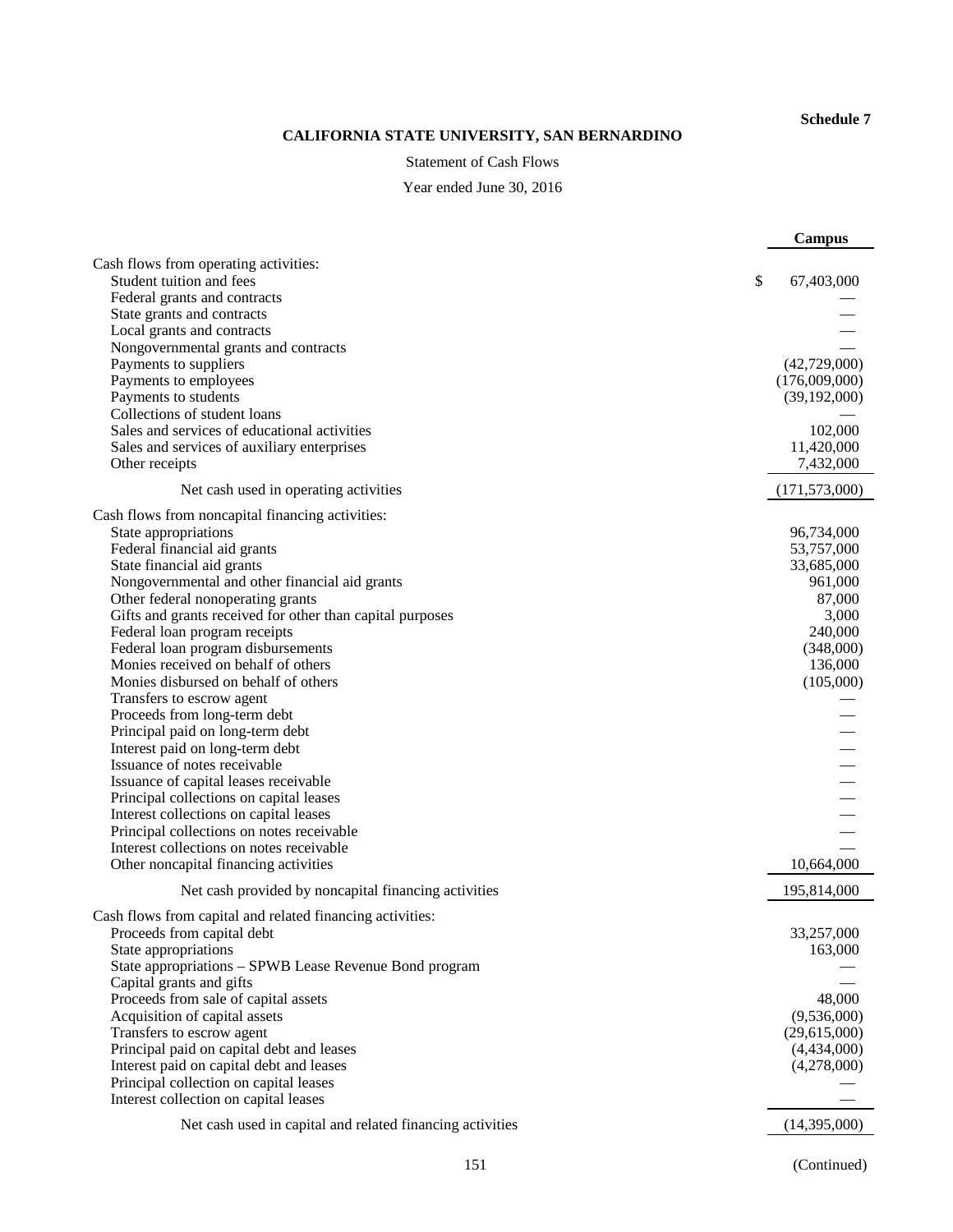# CALIFORNIA STATE UNIVERSITY, SAN BERNARDINO

#### **Statement of Cash Flows**

Year ended June 30, 2016

|                                                                                 | <b>Campus</b>    |
|---------------------------------------------------------------------------------|------------------|
| Cash flows from operating activities:<br>Student tuition and fees               | \$<br>67,403,000 |
| Federal grants and contracts                                                    |                  |
| State grants and contracts                                                      |                  |
| Local grants and contracts                                                      |                  |
| Nongovernmental grants and contracts                                            |                  |
| Payments to suppliers                                                           | (42,729,000)     |
| Payments to employees                                                           | (176,009,000)    |
| Payments to students                                                            | (39,192,000)     |
| Collections of student loans                                                    |                  |
| Sales and services of educational activities                                    | 102,000          |
| Sales and services of auxiliary enterprises                                     | 11,420,000       |
| Other receipts                                                                  | 7,432,000        |
| Net cash used in operating activities                                           | (171, 573, 000)  |
| Cash flows from noncapital financing activities:                                |                  |
| State appropriations                                                            | 96,734,000       |
| Federal financial aid grants                                                    | 53,757,000       |
| State financial aid grants                                                      | 33,685,000       |
| Nongovernmental and other financial aid grants                                  | 961,000          |
| Other federal nonoperating grants                                               | 87,000           |
| Gifts and grants received for other than capital purposes                       | 3,000<br>240,000 |
| Federal loan program receipts<br>Federal loan program disbursements             | (348,000)        |
| Monies received on behalf of others                                             | 136,000          |
| Monies disbursed on behalf of others                                            | (105,000)        |
| Transfers to escrow agent                                                       |                  |
| Proceeds from long-term debt                                                    |                  |
| Principal paid on long-term debt                                                |                  |
| Interest paid on long-term debt                                                 |                  |
| Issuance of notes receivable                                                    |                  |
| Issuance of capital leases receivable                                           |                  |
| Principal collections on capital leases                                         |                  |
| Interest collections on capital leases                                          |                  |
| Principal collections on notes receivable                                       |                  |
| Interest collections on notes receivable                                        |                  |
| Other noncapital financing activities                                           | 10,664,000       |
| Net cash provided by noncapital financing activities                            | 195,814,000      |
| Cash flows from capital and related financing activities:                       |                  |
| Proceeds from capital debt                                                      | 33,257,000       |
| State appropriations                                                            | 163,000          |
| State appropriations - SPWB Lease Revenue Bond program                          |                  |
| Capital grants and gifts                                                        |                  |
| Proceeds from sale of capital assets                                            | 48,000           |
| Acquisition of capital assets                                                   | (9,536,000)      |
| Transfers to escrow agent                                                       | (29,615,000)     |
| Principal paid on capital debt and leases                                       | (4,434,000)      |
| Interest paid on capital debt and leases                                        | (4,278,000)      |
| Principal collection on capital leases<br>Interest collection on capital leases |                  |
| Net cash used in capital and related financing activities                       | (14,395,000)     |
|                                                                                 |                  |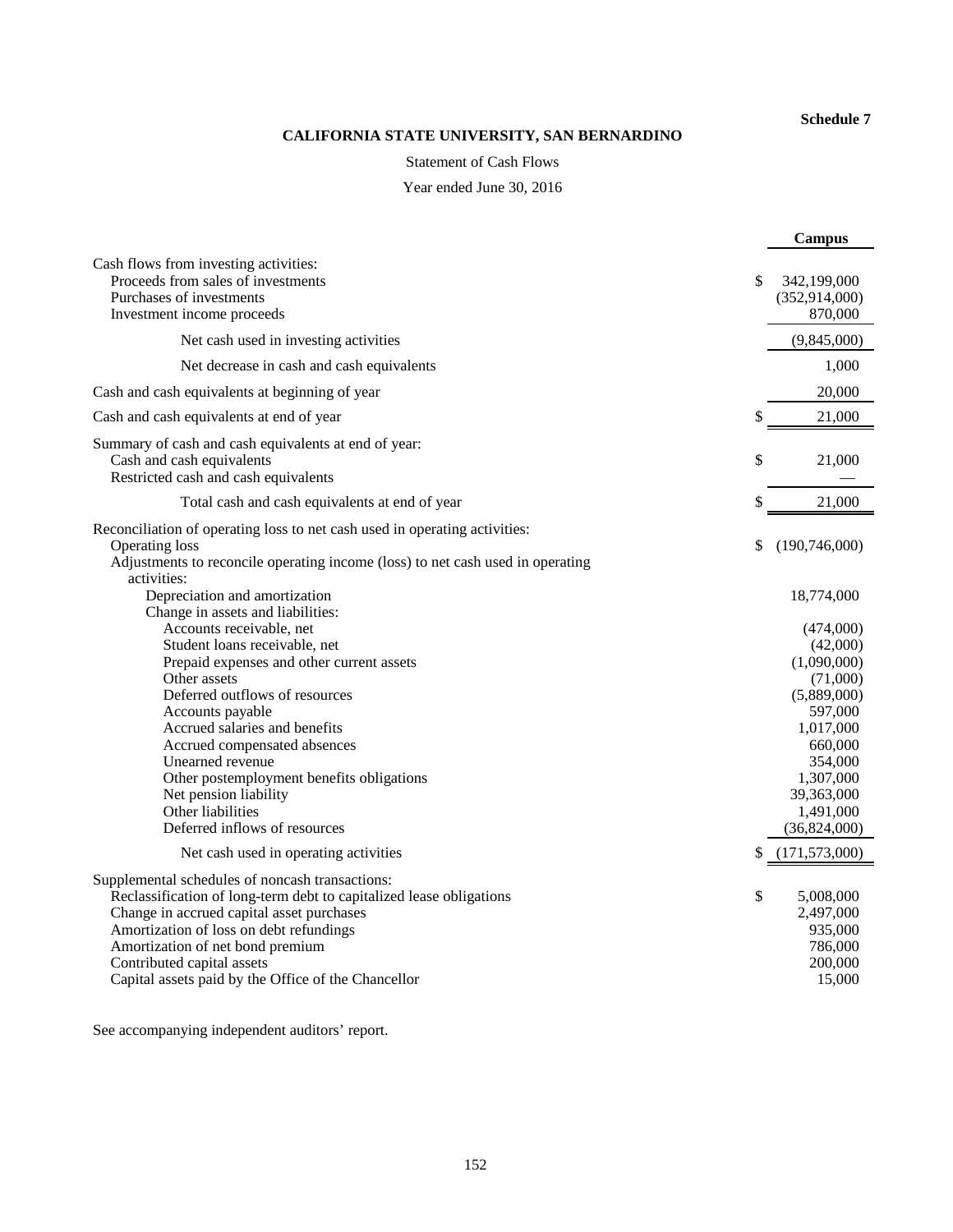# CALIFORNIA STATE UNIVERSITY, SAN BERNARDINO

**Statement of Cash Flows** 

Year ended June 30, 2016

|                                                                                                                                                                                                                                                                                                                                                                                                                                                                                                              | <b>Campus</b>                                                                                                                                                                                                |
|--------------------------------------------------------------------------------------------------------------------------------------------------------------------------------------------------------------------------------------------------------------------------------------------------------------------------------------------------------------------------------------------------------------------------------------------------------------------------------------------------------------|--------------------------------------------------------------------------------------------------------------------------------------------------------------------------------------------------------------|
| Cash flows from investing activities:<br>Proceeds from sales of investments<br>Purchases of investments<br>Investment income proceeds                                                                                                                                                                                                                                                                                                                                                                        | \$<br>342,199,000<br>(352, 914, 000)<br>870,000                                                                                                                                                              |
| Net cash used in investing activities                                                                                                                                                                                                                                                                                                                                                                                                                                                                        | (9,845,000)                                                                                                                                                                                                  |
| Net decrease in cash and cash equivalents                                                                                                                                                                                                                                                                                                                                                                                                                                                                    | 1,000                                                                                                                                                                                                        |
| Cash and cash equivalents at beginning of year                                                                                                                                                                                                                                                                                                                                                                                                                                                               | 20,000                                                                                                                                                                                                       |
| Cash and cash equivalents at end of year                                                                                                                                                                                                                                                                                                                                                                                                                                                                     | \$<br>21,000                                                                                                                                                                                                 |
| Summary of cash and cash equivalents at end of year:<br>Cash and cash equivalents<br>Restricted cash and cash equivalents                                                                                                                                                                                                                                                                                                                                                                                    | \$<br>21,000                                                                                                                                                                                                 |
| Total cash and cash equivalents at end of year                                                                                                                                                                                                                                                                                                                                                                                                                                                               | \$<br>21,000                                                                                                                                                                                                 |
| Reconciliation of operating loss to net cash used in operating activities:<br><b>Operating loss</b><br>Adjustments to reconcile operating income (loss) to net cash used in operating<br>activities:                                                                                                                                                                                                                                                                                                         | \$<br>(190,746,000)                                                                                                                                                                                          |
| Depreciation and amortization<br>Change in assets and liabilities:<br>Accounts receivable, net<br>Student loans receivable, net<br>Prepaid expenses and other current assets<br>Other assets<br>Deferred outflows of resources<br>Accounts payable<br>Accrued salaries and benefits<br>Accrued compensated absences<br>Unearned revenue<br>Other postemployment benefits obligations<br>Net pension liability<br>Other liabilities<br>Deferred inflows of resources<br>Net cash used in operating activities | \$<br>18,774,000<br>(474,000)<br>(42,000)<br>(1,090,000)<br>(71,000)<br>(5,889,000)<br>597,000<br>1,017,000<br>660,000<br>354,000<br>1,307,000<br>39,363,000<br>1,491,000<br>(36,824,000)<br>(171, 573, 000) |
| Supplemental schedules of noncash transactions:<br>Reclassification of long-term debt to capitalized lease obligations<br>Change in accrued capital asset purchases<br>Amortization of loss on debt refundings<br>Amortization of net bond premium<br>Contributed capital assets<br>Capital assets paid by the Office of the Chancellor                                                                                                                                                                      | \$<br>5,008,000<br>2,497,000<br>935,000<br>786,000<br>200,000<br>15,000                                                                                                                                      |